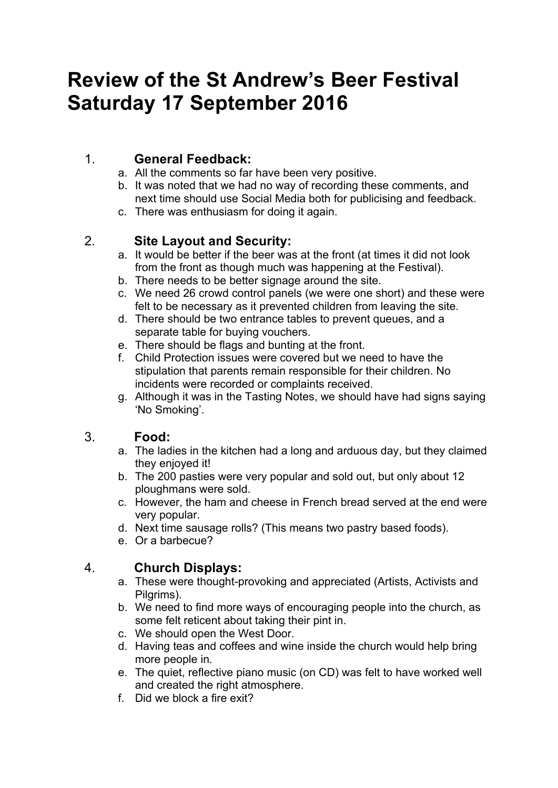# **Review of the St Andrew's Beer Festival Saturday 17 September 2016**

# 1. **General Feedback:**

- a. All the comments so far have been very positive.
- b. It was noted that we had no way of recording these comments, and next time should use Social Media both for publicising and feedback.
- c. There was enthusiasm for doing it again.

# 2. **Site Layout and Security:**

- a. It would be better if the beer was at the front (at times it did not look from the front as though much was happening at the Festival).
- b. There needs to be better signage around the site.
- c. We need 26 crowd control panels (we were one short) and these were felt to be necessary as it prevented children from leaving the site.
- d. There should be two entrance tables to prevent queues, and a separate table for buying vouchers.
- e. There should be flags and bunting at the front.
- f. Child Protection issues were covered but we need to have the stipulation that parents remain responsible for their children. No incidents were recorded or complaints received.
- g. Although it was in the Tasting Notes, we should have had signs saying 'No Smoking'.

# 3. **Food:**

- a. The ladies in the kitchen had a long and arduous day, but they claimed they enjoyed it!
- b. The 200 pasties were very popular and sold out, but only about 12 ploughmans were sold.
- c. However, the ham and cheese in French bread served at the end were very popular.
- d. Next time sausage rolls? (This means two pastry based foods).
- e. Or a barbecue?

# 4. **Church Displays:**

- a. These were thought-provoking and appreciated (Artists, Activists and Pilgrims).
- b. We need to find more ways of encouraging people into the church, as some felt reticent about taking their pint in.
- c. We should open the West Door.
- d. Having teas and coffees and wine inside the church would help bring more people in.
- e. The quiet, reflective piano music (on CD) was felt to have worked well and created the right atmosphere.
- f. Did we block a fire exit?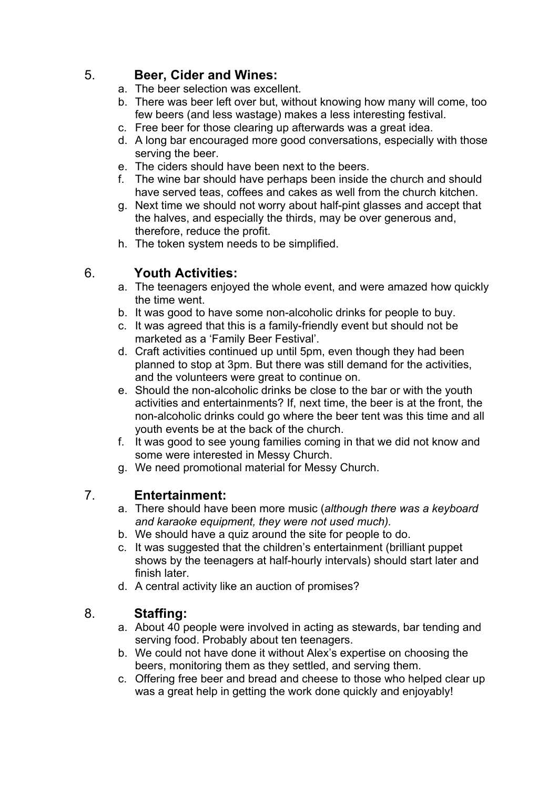### 5. **Beer, Cider and Wines:**

- a. The beer selection was excellent.
- b. There was beer left over but, without knowing how many will come, too few beers (and less wastage) makes a less interesting festival.
- c. Free beer for those clearing up afterwards was a great idea.
- d. A long bar encouraged more good conversations, especially with those serving the beer.
- e. The ciders should have been next to the beers.
- f. The wine bar should have perhaps been inside the church and should have served teas, coffees and cakes as well from the church kitchen.
- g. Next time we should not worry about half-pint glasses and accept that the halves, and especially the thirds, may be over generous and, therefore, reduce the profit.
- h. The token system needs to be simplified.

# 6. **Youth Activities:**

- a. The teenagers enjoyed the whole event, and were amazed how quickly the time went.
- b. It was good to have some non-alcoholic drinks for people to buy.
- c. It was agreed that this is a family-friendly event but should not be marketed as a 'Family Beer Festival'.
- d. Craft activities continued up until 5pm, even though they had been planned to stop at 3pm. But there was still demand for the activities, and the volunteers were great to continue on.
- e. Should the non-alcoholic drinks be close to the bar or with the youth activities and entertainments? If, next time, the beer is at the front, the non-alcoholic drinks could go where the beer tent was this time and all youth events be at the back of the church.
- f. It was good to see young families coming in that we did not know and some were interested in Messy Church.
- g. We need promotional material for Messy Church.

#### 7. **Entertainment:**

- a. There should have been more music (*although there was a keyboard and karaoke equipment, they were not used much).*
- b. We should have a quiz around the site for people to do.
- c. It was suggested that the children's entertainment (brilliant puppet shows by the teenagers at half-hourly intervals) should start later and finish later.
- d. A central activity like an auction of promises?

#### 8. **Staffing:**

- a. About 40 people were involved in acting as stewards, bar tending and serving food. Probably about ten teenagers.
- b. We could not have done it without Alex's expertise on choosing the beers, monitoring them as they settled, and serving them.
- c. Offering free beer and bread and cheese to those who helped clear up was a great help in getting the work done quickly and enjoyably!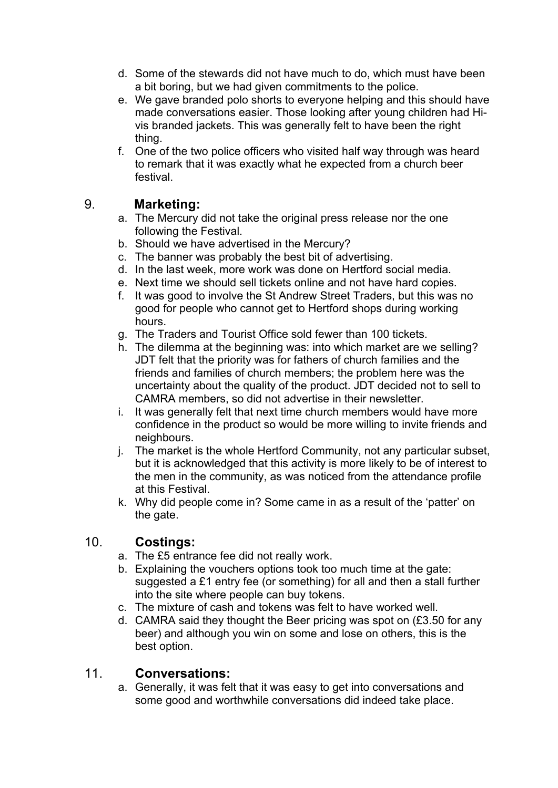- d. Some of the stewards did not have much to do, which must have been a bit boring, but we had given commitments to the police.
- e. We gave branded polo shorts to everyone helping and this should have made conversations easier. Those looking after young children had Hivis branded jackets. This was generally felt to have been the right thing.
- f. One of the two police officers who visited half way through was heard to remark that it was exactly what he expected from a church beer festival.

# 9. **Marketing:**

- a. The Mercury did not take the original press release nor the one following the Festival.
- b. Should we have advertised in the Mercury?
- c. The banner was probably the best bit of advertising.
- d. In the last week, more work was done on Hertford social media.
- e. Next time we should sell tickets online and not have hard copies.
- f. It was good to involve the St Andrew Street Traders, but this was no good for people who cannot get to Hertford shops during working hours.
- g. The Traders and Tourist Office sold fewer than 100 tickets.
- h. The dilemma at the beginning was: into which market are we selling? JDT felt that the priority was for fathers of church families and the friends and families of church members; the problem here was the uncertainty about the quality of the product. JDT decided not to sell to CAMRA members, so did not advertise in their newsletter.
- i. It was generally felt that next time church members would have more confidence in the product so would be more willing to invite friends and neighbours.
- j. The market is the whole Hertford Community, not any particular subset, but it is acknowledged that this activity is more likely to be of interest to the men in the community, as was noticed from the attendance profile at this Festival.
- k. Why did people come in? Some came in as a result of the 'patter' on the gate.

# 10. **Costings:**

- a. The £5 entrance fee did not really work.
- b. Explaining the vouchers options took too much time at the gate: suggested a £1 entry fee (or something) for all and then a stall further into the site where people can buy tokens.
- c. The mixture of cash and tokens was felt to have worked well.
- d. CAMRA said they thought the Beer pricing was spot on (£3.50 for any beer) and although you win on some and lose on others, this is the best option.

# 11. **Conversations:**

a. Generally, it was felt that it was easy to get into conversations and some good and worthwhile conversations did indeed take place.